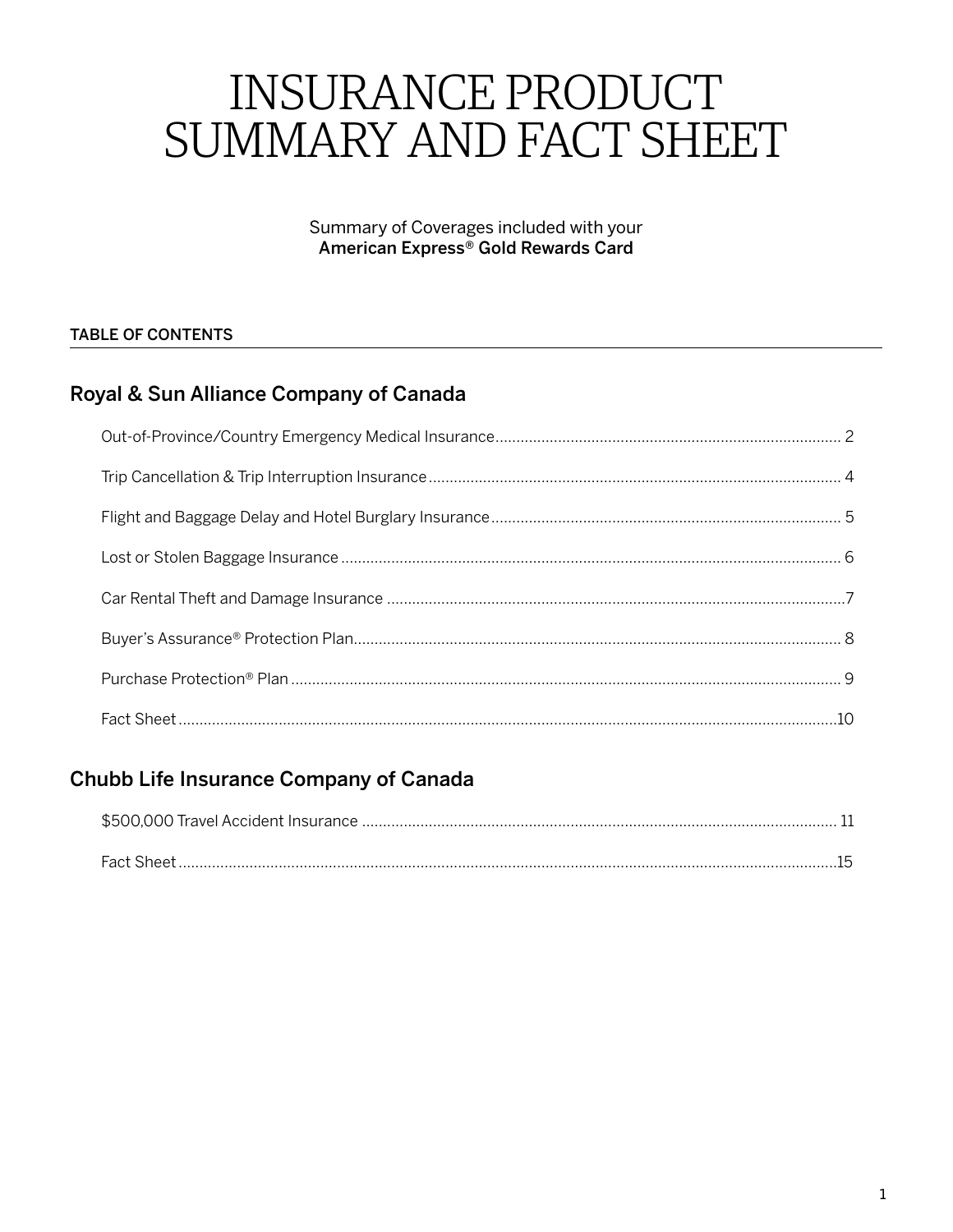# **INSURANCE PRODUCT** SUMMARY AND FACT SHEET

Summary of Coverages included with your American Express® Gold Rewards Card

## **TABLE OF CONTENTS**

# Royal & Sun Alliance Company of Canada

# Chubb Life Insurance Company of Canada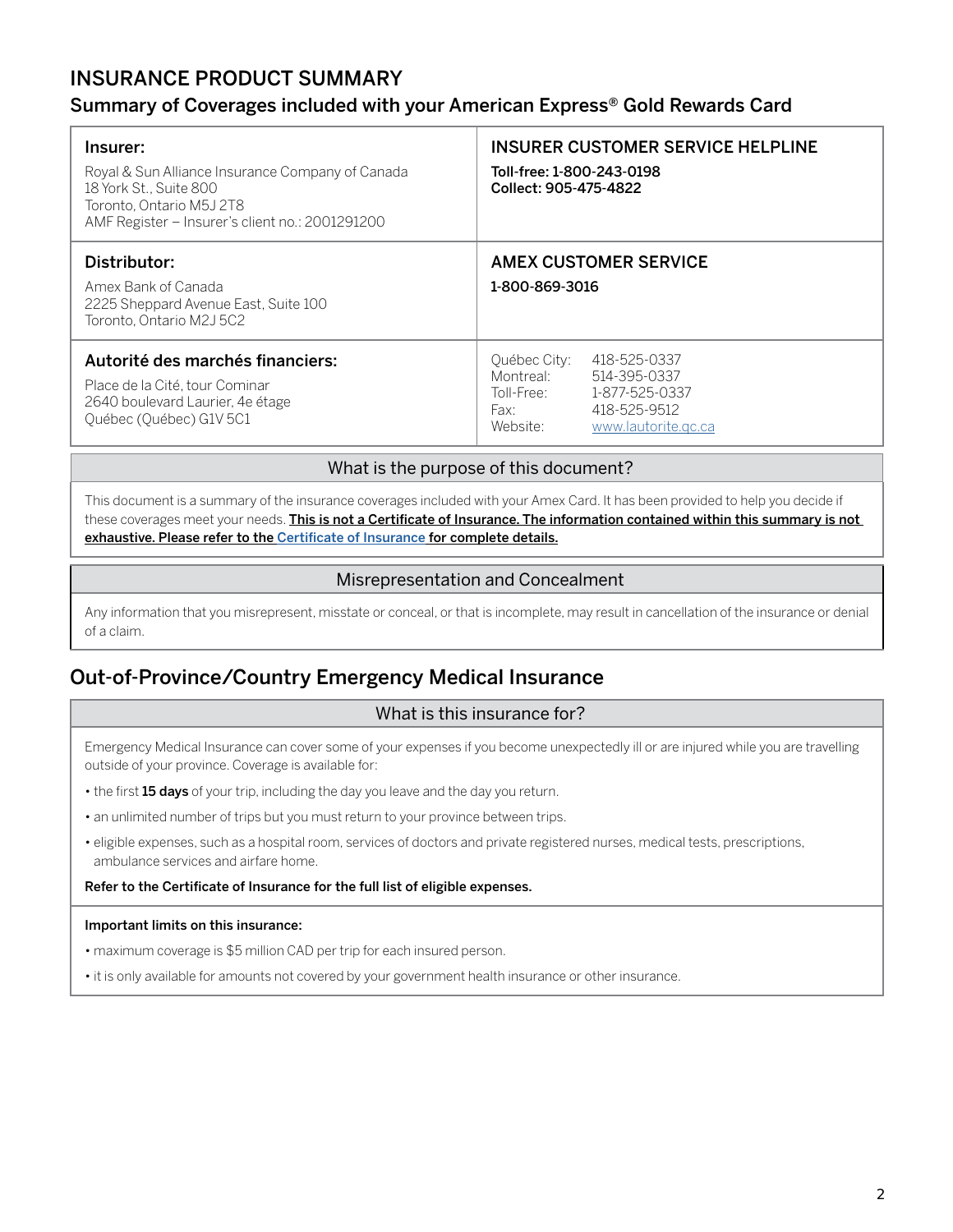# <span id="page-1-0"></span>INSURANCE PRODUCT SUMMARY

## Summary of Coverages included with your American Express® Gold Rewards Card

| Insurer:<br>Royal & Sun Alliance Insurance Company of Canada<br>18 York St., Suite 800<br>Toronto, Ontario M5J 2T8<br>AMF Register - Insurer's client no.: 2001291200 | INSURER CUSTOMER SERVICE HELPLINE<br>Toll-free: 1-800-243-0198<br>Collect: 905-475-4822                                                              |
|-----------------------------------------------------------------------------------------------------------------------------------------------------------------------|------------------------------------------------------------------------------------------------------------------------------------------------------|
| Distributor:<br>Amex Bank of Canada<br>2225 Sheppard Avenue East, Suite 100<br>Toronto. Ontario M2J 5C2                                                               | AMEX CUSTOMER SERVICE<br>1-800-869-3016                                                                                                              |
| Autorité des marchés financiers:<br>Place de la Cité, tour Cominar<br>2640 boulevard Laurier, 4e étage<br>Québec (Québec) G1V 5C1                                     | 418-525-0337<br>Québec City:<br>Montreal:<br>514-395-0337<br>1-877-525-0337<br>Toll-Free:<br>418-525-9512<br>Fax:<br>Website:<br>www.lautorite.gc.ca |

#### What is the purpose of this document?

This document is a summary of the insurance coverages included with your Amex Card. It has been provided to help you decide if these coverages meet your needs. This is not a Certificate of Insurance. The information contained within this summary is not exhaustive. Please refer to the [Certificate of Insurance](https://www.insurance.americanexpress.com/ca/files/2019/07/190477-Gold-Rwards-Ins-Cert-16370.pdf) for complete details.

#### Misrepresentation and Concealment

Any information that you misrepresent, misstate or conceal, or that is incomplete, may result in cancellation of the insurance or denial of a claim.

# Out-of-Province/Country Emergency Medical Insurance

#### What is this insurance for?

Emergency Medical Insurance can cover some of your expenses if you become unexpectedly ill or are injured while you are travelling outside of your province. Coverage is available for:

- the first 15 days of your trip, including the day you leave and the day you return.
- an unlimited number of trips but you must return to your province between trips.
- eligible expenses, such as a hospital room, services of doctors and private registered nurses, medical tests, prescriptions, ambulance services and airfare home.

#### Refer to the Certificate of Insurance for the full list of eligible expenses.

#### Important limits on this insurance:

- maximum coverage is \$5 million CAD per trip for each insured person.
- it is only available for amounts not covered by your government health insurance or other insurance.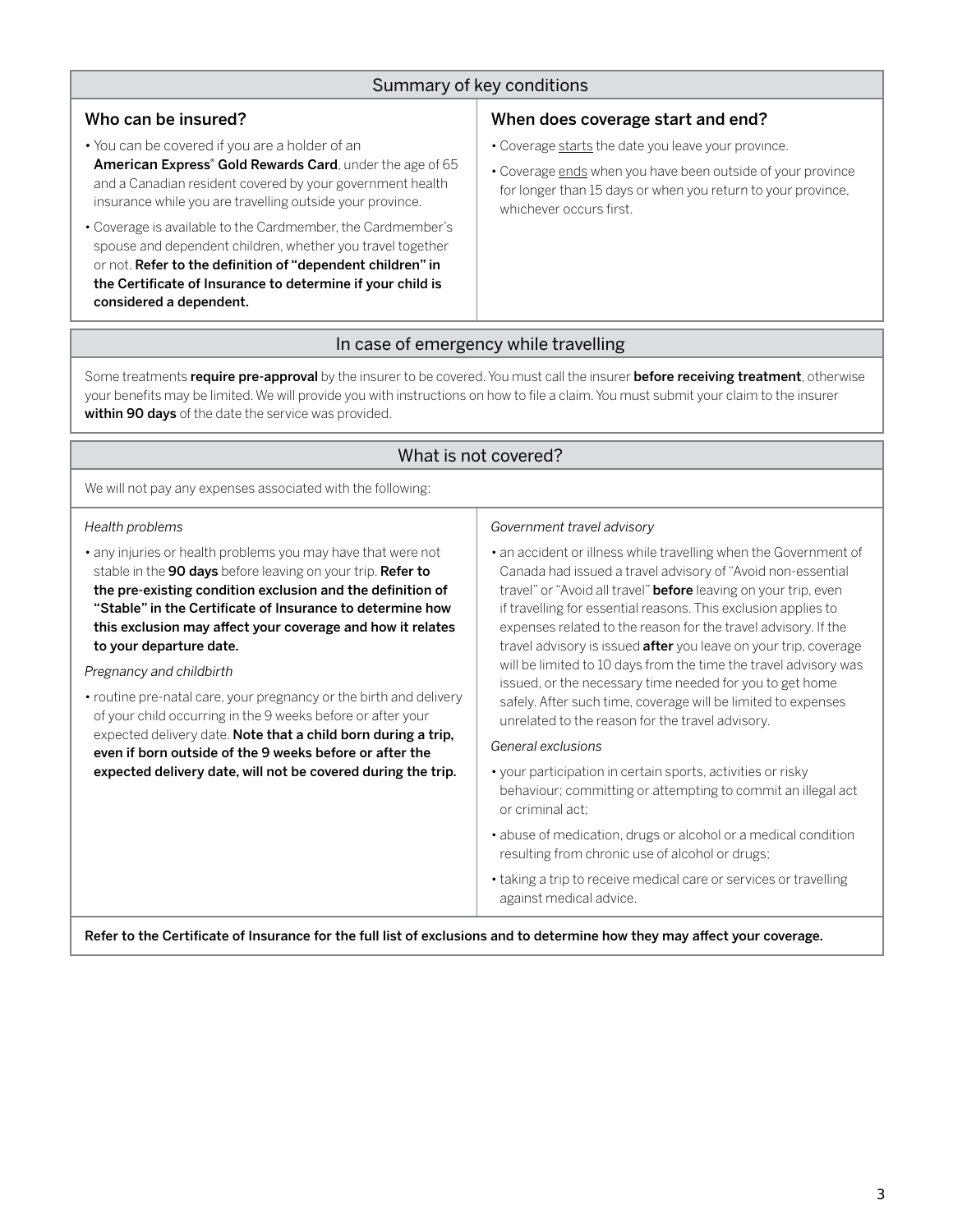## Summary of key conditions

#### Who can be insured?

- You can be covered if you are a holder of an American Express<sup>®</sup> Gold Rewards Card, under the age of 65 and a Canadian resident covered by your government health insurance while you are travelling outside your province.
- Coverage is available to the Cardmember, the Cardmember's spouse and dependent children, whether you travel together or not. Refer to the definition of "dependent children" in the Certificate of Insurance to determine if your child is considered a dependent.

#### When does coverage start and end?

- Coverage starts the date you leave your province.
- Coverage ends when you have been outside of your province for longer than 15 days or when you return to your province, whichever occurs first.

## In case of emergency while travelling

Some treatments require pre-approval by the insurer to be covered. You must call the insurer before receiving treatment, otherwise your benefits may be limited. We will provide you with instructions on how to file a claim. You must submit your claim to the insurer within 90 days of the date the service was provided.

#### What is not covered?

We will not pay any expenses associated with the following:

#### *Health problems*

• any injuries or health problems you may have that were not stable in the 90 days before leaving on your trip. Refer to the pre-existing condition exclusion and the definition of "Stable" in the Certificate of Insurance to determine how this exclusion may affect your coverage and how it relates to your departure date.

#### *Pregnancy and childbirth*

• routine pre-natal care, your pregnancy or the birth and delivery of your child occurring in the 9 weeks before or after your expected delivery date. Note that a child born during a trip, even if born outside of the 9 weeks before or after the expected delivery date, will not be covered during the trip.

#### *Government travel advisory*

• an accident or illness while travelling when the Government of Canada had issued a travel advisory of "Avoid non-essential travel" or "Avoid all travel" **before** leaving on your trip, even if travelling for essential reasons. This exclusion applies to expenses related to the reason for the travel advisory. If the travel advisory is issued **after** you leave on your trip, coverage will be limited to 10 days from the time the travel advisory was issued, or the necessary time needed for you to get home safely. After such time, coverage will be limited to expenses unrelated to the reason for the travel advisory.

#### *General exclusions*

- your participation in certain sports, activities or risky behaviour; committing or attempting to commit an illegal act or criminal act;
- abuse of medication, drugs or alcohol or a medical condition resulting from chronic use of alcohol or drugs;
- taking a trip to receive medical care or services or travelling against medical advice.

Refer to the Certificate of Insurance for the full list of exclusions and to determine how they may affect your coverage.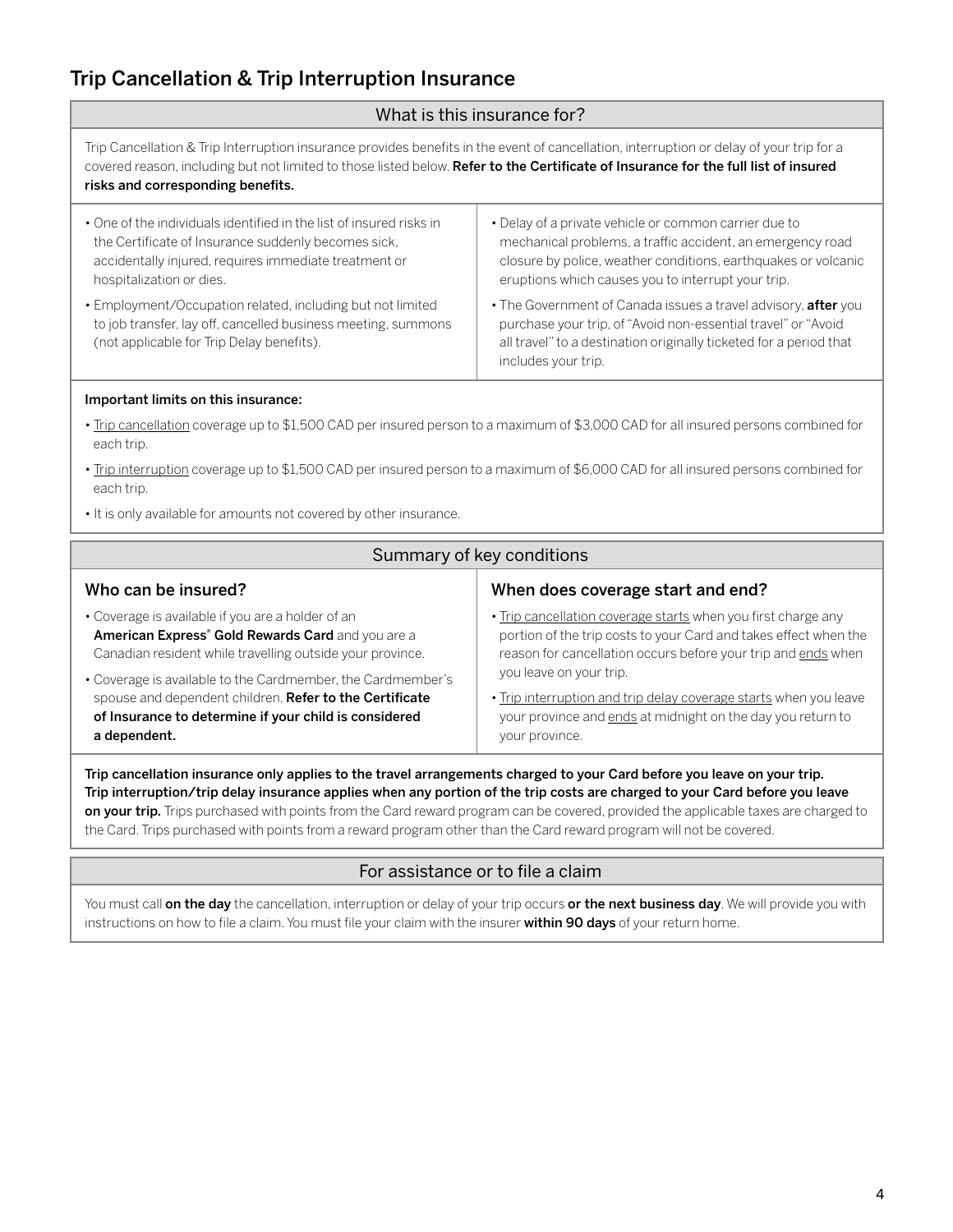# <span id="page-3-0"></span>Trip Cancellation & Trip Interruption Insurance

#### What is this insurance for?

Trip Cancellation & Trip Interruption insurance provides benefits in the event of cancellation, interruption or delay of your trip for a covered reason, including but not limited to those listed below. Refer to the Certificate of Insurance for the full list of insured risks and corresponding benefits.

| • One of the individuals identified in the list of insured risks in                                                                                                      | • Delay of a private vehicle or common carrier due to                                                                                                                                                                        |
|--------------------------------------------------------------------------------------------------------------------------------------------------------------------------|------------------------------------------------------------------------------------------------------------------------------------------------------------------------------------------------------------------------------|
| the Certificate of Insurance suddenly becomes sick,                                                                                                                      | mechanical problems, a traffic accident, an emergency road                                                                                                                                                                   |
| accidentally injured, requires immediate treatment or                                                                                                                    | closure by police, weather conditions, earthquakes or volcanic                                                                                                                                                               |
| hospitalization or dies.                                                                                                                                                 | eruptions which causes you to interrupt your trip.                                                                                                                                                                           |
| • Employment/Occupation related, including but not limited<br>to job transfer, lay off, cancelled business meeting, summons<br>(not applicable for Trip Delay benefits). | . The Government of Canada issues a travel advisory, after you<br>purchase your trip, of "Avoid non-essential travel" or "Avoid<br>all travel" to a destination originally ticketed for a period that<br>includes your trip. |

#### Important limits on this insurance:

- Trip cancellation coverage up to \$1,500 CAD per insured person to a maximum of \$3,000 CAD for all insured persons combined for each trip.
- Trip interruption coverage up to \$1,500 CAD per insured person to a maximum of \$6,000 CAD for all insured persons combined for each trip.
- It is only available for amounts not covered by other insurance.

| Summary of key conditions                                     |                                                                   |
|---------------------------------------------------------------|-------------------------------------------------------------------|
| Who can be insured?                                           | When does coverage start and end?                                 |
| • Coverage is available if you are a holder of an             | . Trip cancellation coverage starts when you first charge any     |
| American Express <sup>®</sup> Gold Rewards Card and you are a | portion of the trip costs to your Card and takes effect when the  |
| Canadian resident while travelling outside your province.     | reason for cancellation occurs before your trip and ends when     |
| • Coverage is available to the Cardmember, the Cardmember's   | you leave on your trip.                                           |
| spouse and dependent children. Refer to the Certificate       | . Trip interruption and trip delay coverage starts when you leave |
| of Insurance to determine if your child is considered         | your province and ends at midnight on the day you return to       |
| a dependent.                                                  | your province.                                                    |

Trip cancellation insurance only applies to the travel arrangements charged to your Card before you leave on your trip. Trip interruption/trip delay insurance applies when any portion of the trip costs are charged to your Card before you leave on your trip. Trips purchased with points from the Card reward program can be covered, provided the applicable taxes are charged to the Card. Trips purchased with points from a reward program other than the Card reward program will not be covered.

## For assistance or to file a claim

You must call on the day the cancellation, interruption or delay of your trip occurs or the next business day. We will provide you with instructions on how to file a claim. You must file your claim with the insurer within 90 days of your return home.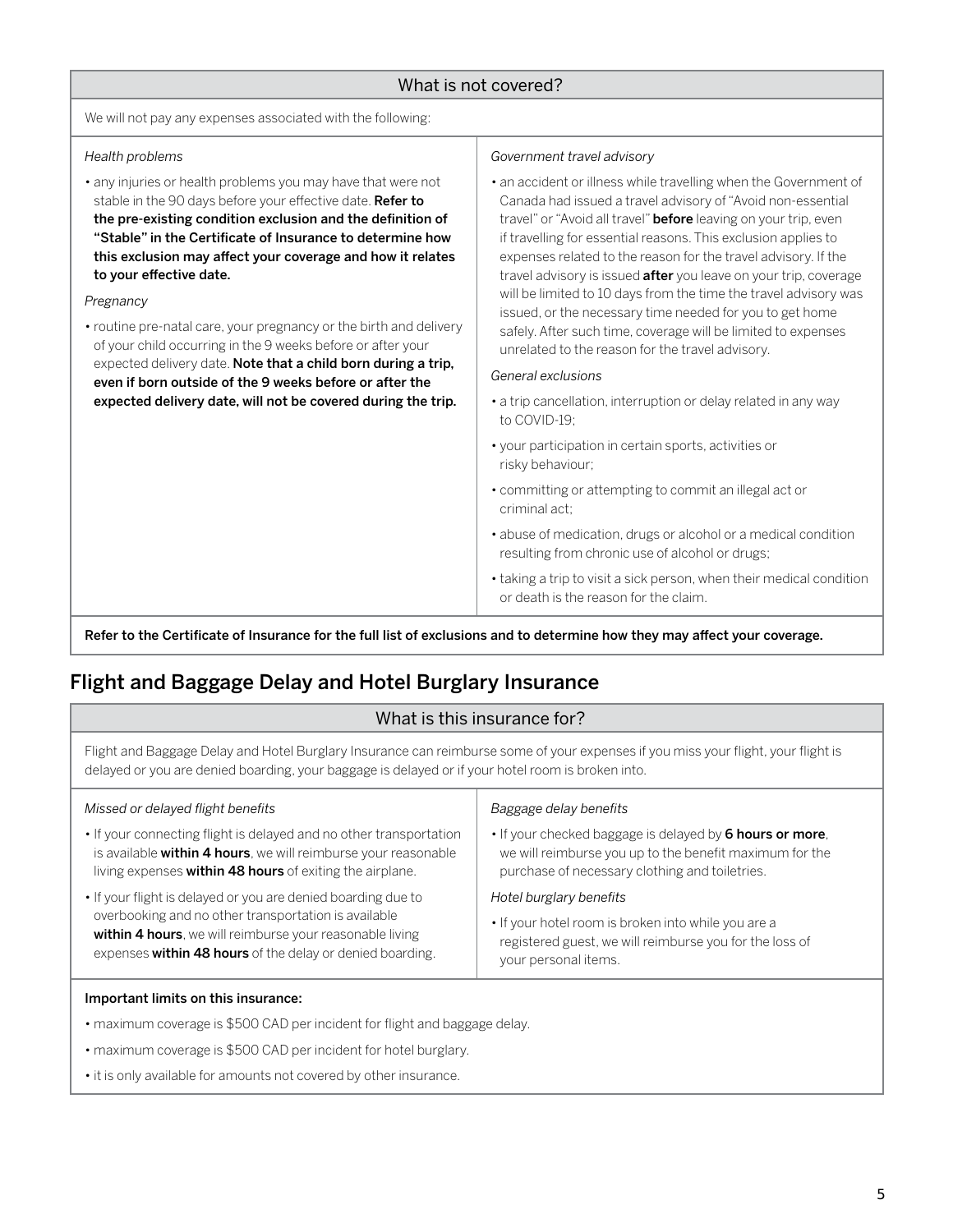#### What is not covered?

<span id="page-4-0"></span>We will not pay any expenses associated with the following:

#### *Health problems*

• any injuries or health problems you may have that were not stable in the 90 days before your effective date. Refer to the pre-existing condition exclusion and the definition of "Stable" in the Certificate of Insurance to determine how this exclusion may affect your coverage and how it relates to your effective date.

#### *Pregnancy*

• routine pre-natal care, your pregnancy or the birth and delivery of your child occurring in the 9 weeks before or after your expected delivery date. Note that a child born during a trip, even if born outside of the 9 weeks before or after the expected delivery date, will not be covered during the trip.

#### *Government travel advisory*

• an accident or illness while travelling when the Government of Canada had issued a travel advisory of "Avoid non-essential travel" or "Avoid all travel" **before** leaving on your trip, even if travelling for essential reasons. This exclusion applies to expenses related to the reason for the travel advisory. If the travel advisory is issued **after** you leave on your trip, coverage will be limited to 10 days from the time the travel advisory was issued, or the necessary time needed for you to get home safely. After such time, coverage will be limited to expenses unrelated to the reason for the travel advisory.

#### *General exclusions*

- a trip cancellation, interruption or delay related in any way to COVID-19;
- your participation in certain sports, activities or risky behaviour;
- committing or attempting to commit an illegal act or criminal act;
- abuse of medication, drugs or alcohol or a medical condition resulting from chronic use of alcohol or drugs;
- taking a trip to visit a sick person, when their medical condition or death is the reason for the claim.

Refer to the Certificate of Insurance for the full list of exclusions and to determine how they may affect your coverage.

# Flight and Baggage Delay and Hotel Burglary Insurance

#### What is this insurance for?

Flight and Baggage Delay and Hotel Burglary Insurance can reimburse some of your expenses if you miss your flight, your flight is delayed or you are denied boarding, your baggage is delayed or if your hotel room is broken into.

| Missed or delayed flight benefits                                  | Baggage delay benefits                                   |
|--------------------------------------------------------------------|----------------------------------------------------------|
| • If your connecting flight is delayed and no other transportation | • If your checked baggage is delayed by 6 hours or more, |
| is available within 4 hours, we will reimburse your reasonable     | we will reimburse you up to the benefit maximum for the  |
| living expenses within 48 hours of exiting the airplane.           | purchase of necessary clothing and toiletries.           |
| • If your flight is delayed or you are denied boarding due to      | Hotel burglary benefits                                  |
| overbooking and no other transportation is available               | • If your hotel room is broken into while you are a      |
| within 4 hours, we will reimburse your reasonable living           | registered guest, we will reimburse you for the loss of  |
| expenses within 48 hours of the delay or denied boarding.          | your personal items.                                     |

#### Important limits on this insurance:

- maximum coverage is \$500 CAD per incident for flight and baggage delay.
- maximum coverage is \$500 CAD per incident for hotel burglary.
- it is only available for amounts not covered by other insurance.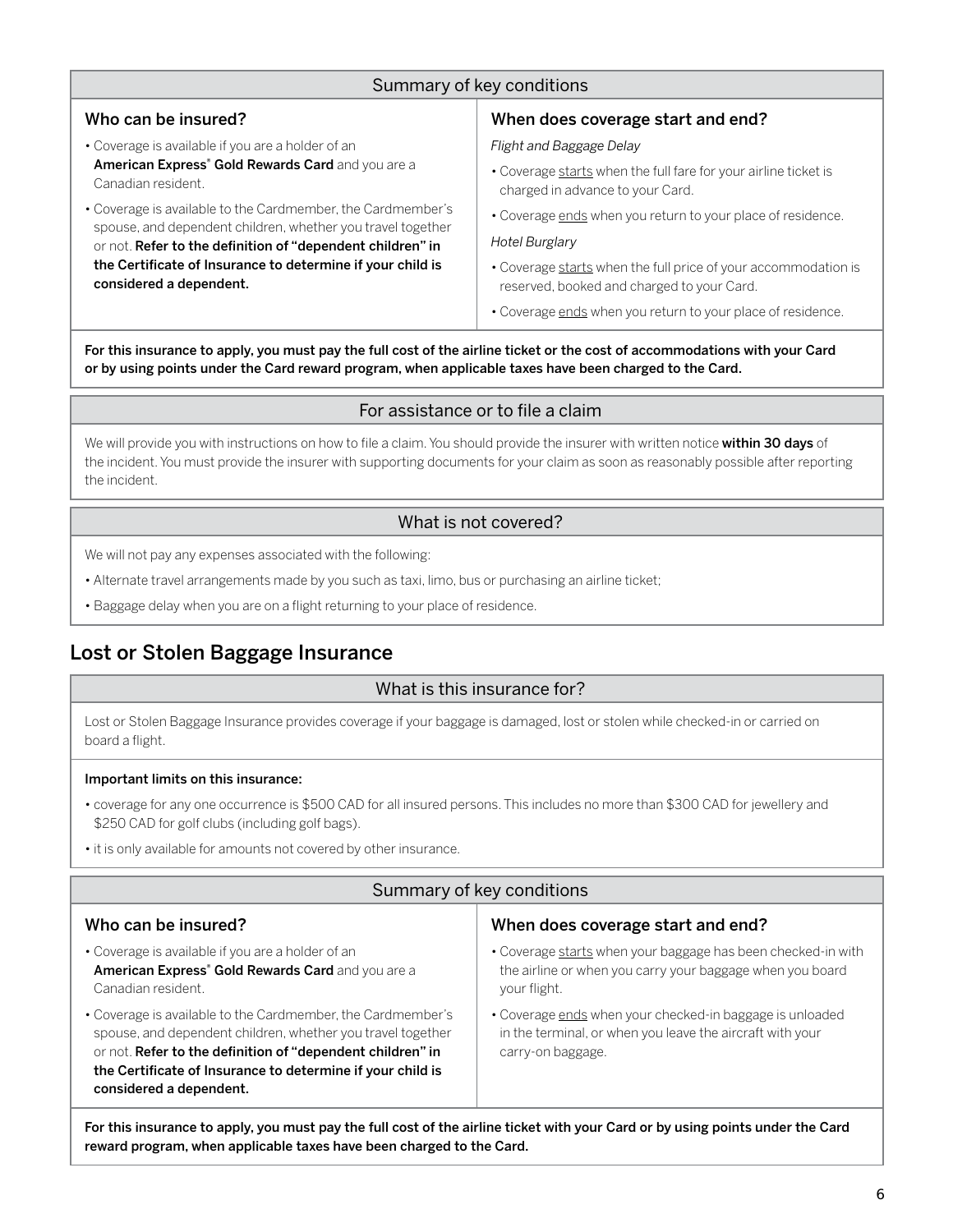## Summary of key conditions

#### <span id="page-5-0"></span>Who can be insured?

- Coverage is available if you are a holder of an American Express<sup>®</sup> Gold Rewards Card and you are a Canadian resident.
- Coverage is available to the Cardmember, the Cardmember's spouse, and dependent children, whether you travel together or not. Refer to the definition of "dependent children" in the Certificate of Insurance to determine if your child is considered a dependent.

## When does coverage start and end?

*Flight and Baggage Delay*

- Coverage starts when the full fare for your airline ticket is charged in advance to your Card.
- Coverage ends when you return to your place of residence.

#### *Hotel Burglary*

• Coverage starts when the full price of your accommodation is reserved, booked and charged to your Card.

• Coverage ends when you return to your place of residence.

For this insurance to apply, you must pay the full cost of the airline ticket or the cost of accommodations with your Card or by using points under the Card reward program, when applicable taxes have been charged to the Card.

#### For assistance or to file a claim

We will provide you with instructions on how to file a claim. You should provide the insurer with written notice within 30 days of the incident. You must provide the insurer with supporting documents for your claim as soon as reasonably possible after reporting the incident.

#### What is not covered?

We will not pay any expenses associated with the following:

- Alternate travel arrangements made by you such as taxi, limo, bus or purchasing an airline ticket;
- Baggage delay when you are on a flight returning to your place of residence.

# Lost or Stolen Baggage Insurance

#### What is this insurance for?

Lost or Stolen Baggage Insurance provides coverage if your baggage is damaged, lost or stolen while checked-in or carried on board a flight.

#### Important limits on this insurance:

- coverage for any one occurrence is \$500 CAD for all insured persons. This includes no more than \$300 CAD for jewellery and \$250 CAD for golf clubs (including golf bags).
- it is only available for amounts not covered by other insurance.

#### Summary of key conditions Who can be insured? • Coverage is available if you are a holder of an American Express<sup>®</sup> Gold Rewards Card and you are a Canadian resident. • Coverage is available to the Cardmember, the Cardmember's spouse, and dependent children, whether you travel together or not. Refer to the definition of "dependent children" in the Certificate of Insurance to determine if your child is considered a dependent. When does coverage start and end? • Coverage starts when your baggage has been checked-in with the airline or when you carry your baggage when you board your flight. • Coverage ends when your checked-in baggage is unloaded in the terminal, or when you leave the aircraft with your carry-on baggage.

For this insurance to apply, you must pay the full cost of the airline ticket with your Card or by using points under the Card reward program, when applicable taxes have been charged to the Card.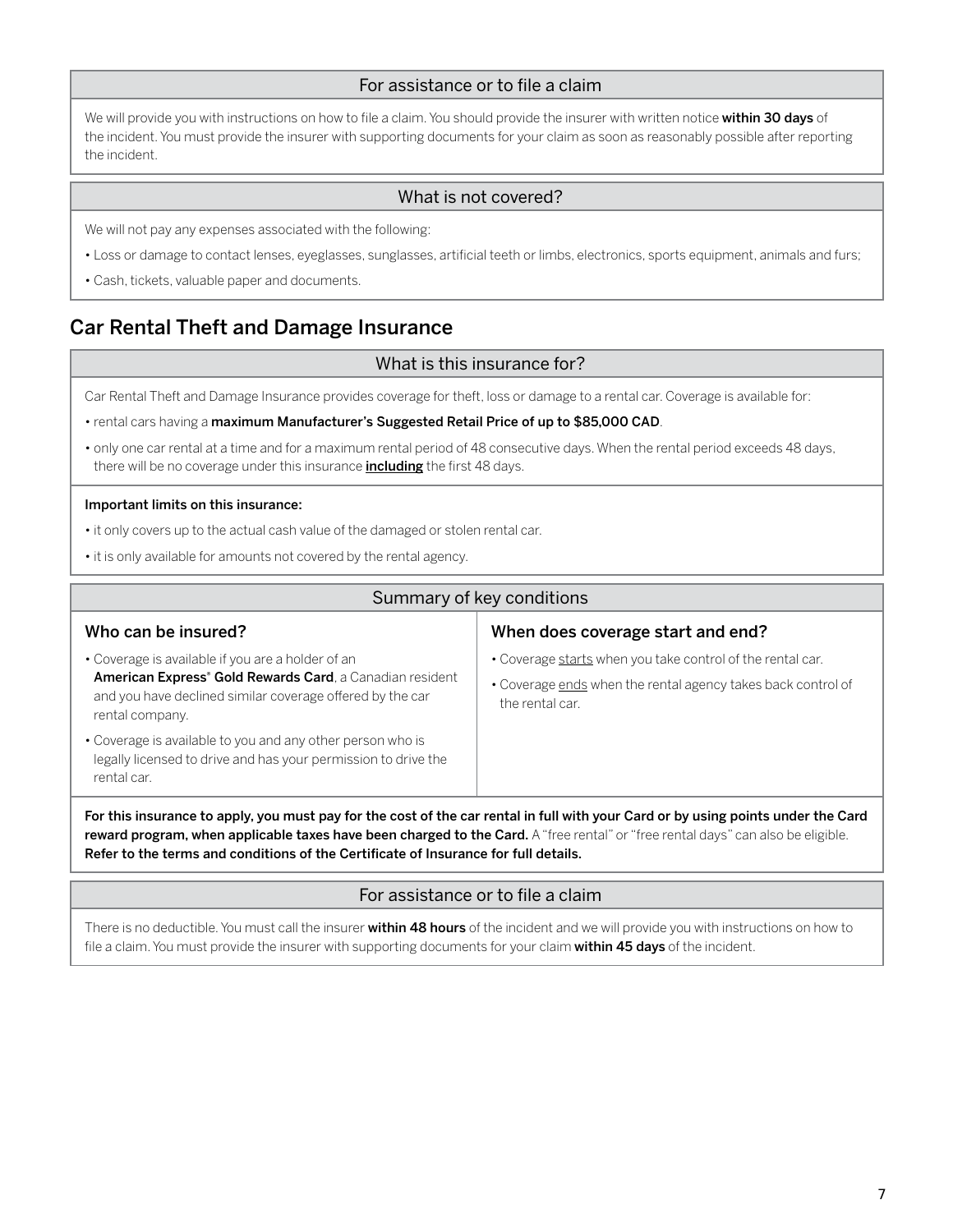## For assistance or to file a claim

<span id="page-6-0"></span>We will provide you with instructions on how to file a claim. You should provide the insurer with written notice within 30 days of the incident. You must provide the insurer with supporting documents for your claim as soon as reasonably possible after reporting the incident.

#### What is not covered?

We will not pay any expenses associated with the following:

- Loss or damage to contact lenses, eyeglasses, sunglasses, artificial teeth or limbs, electronics, sports equipment, animals and furs;
- Cash, tickets, valuable paper and documents.

# Car Rental Theft and Damage Insurance

#### What is this insurance for?

Car Rental Theft and Damage Insurance provides coverage for theft, loss or damage to a rental car. Coverage is available for:

- rental cars having a maximum Manufacturer's Suggested Retail Price of up to \$85,000 CAD.
- only one car rental at a time and for a maximum rental period of 48 consecutive days. When the rental period exceeds 48 days, there will be no coverage under this insurance *including* the first 48 days.

#### Important limits on this insurance:

- it only covers up to the actual cash value of the damaged or stolen rental car.
- it is only available for amounts not covered by the rental agency.

| Summary of key conditions                                                                                                                                                                                                                                             |                                                                                                                                               |
|-----------------------------------------------------------------------------------------------------------------------------------------------------------------------------------------------------------------------------------------------------------------------|-----------------------------------------------------------------------------------------------------------------------------------------------|
| Who can be insured?                                                                                                                                                                                                                                                   | When does coverage start and end?                                                                                                             |
| • Coverage is available if you are a holder of an<br><b>American Express<sup>®</sup> Gold Rewards Card</b> , a Canadian resident<br>and you have declined similar coverage offered by the car<br>rental company.                                                      | . Coverage starts when you take control of the rental car.<br>• Coverage ends when the rental agency takes back control of<br>the rental car. |
| • Coverage is available to you and any other person who is<br>legally licensed to drive and has your permission to drive the<br>rental car.                                                                                                                           |                                                                                                                                               |
| For this insurance to apply, you must pay for the cost of the car rental in full with your Card or by using points under the Card<br>reward program, when applicable taxes have been charged to the Card. A "free rental" or "free rental days" can also be eligible. |                                                                                                                                               |

Refer to the terms and conditions of the Certificate of Insurance for full details.

#### For assistance or to file a claim

There is no deductible. You must call the insurer within 48 hours of the incident and we will provide you with instructions on how to file a claim. You must provide the insurer with supporting documents for your claim within 45 days of the incident.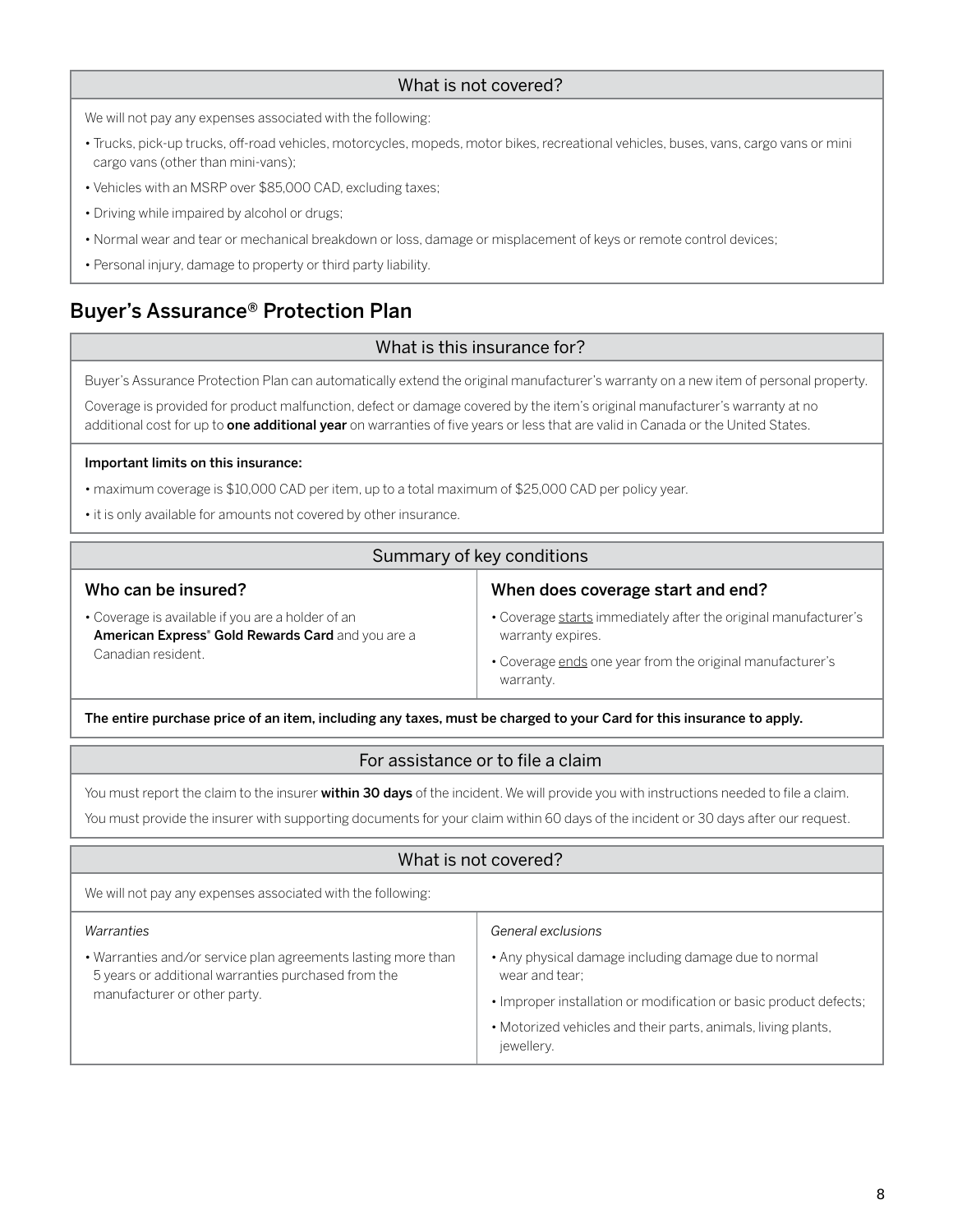#### What is not covered?

<span id="page-7-0"></span>We will not pay any expenses associated with the following:

- Trucks, pick-up trucks, off-road vehicles, motorcycles, mopeds, motor bikes, recreational vehicles, buses, vans, cargo vans or mini cargo vans (other than mini-vans);
- Vehicles with an MSRP over \$85,000 CAD, excluding taxes;
- Driving while impaired by alcohol or drugs;
- Normal wear and tear or mechanical breakdown or loss, damage or misplacement of keys or remote control devices;
- Personal injury, damage to property or third party liability.

# Buyer's Assurance® Protection Plan

## What is this insurance for?

Buyer's Assurance Protection Plan can automatically extend the original manufacturer's warranty on a new item of personal property.

Coverage is provided for product malfunction, defect or damage covered by the item's original manufacturer's warranty at no additional cost for up to one additional year on warranties of five years or less that are valid in Canada or the United States.

#### Important limits on this insurance:

- maximum coverage is \$10,000 CAD per item, up to a total maximum of \$25,000 CAD per policy year.
- it is only available for amounts not covered by other insurance.

#### Summary of key conditions Who can be insured? • Coverage is available if you are a holder of an American Express<sup>®</sup> Gold Rewards Card and you are a Canadian resident. When does coverage start and end? • Coverage starts immediately after the original manufacturer's warranty expires. • Coverage ends one year from the original manufacturer's warranty.

The entire purchase price of an item, including any taxes, must be charged to your Card for this insurance to apply.

## For assistance or to file a claim

You must report the claim to the insurer within 30 days of the incident. We will provide you with instructions needed to file a claim.

You must provide the insurer with supporting documents for your claim within 60 days of the incident or 30 days after our request.

## What is not covered? We will not pay any expenses associated with the following: *Warranties* • Warranties and/or service plan agreements lasting more than 5 years or additional warranties purchased from the manufacturer or other party. *General exclusions* • Any physical damage including damage due to normal wear and tear; • Improper installation or modification or basic product defects; • Motorized vehicles and their parts, animals, living plants, jewellery.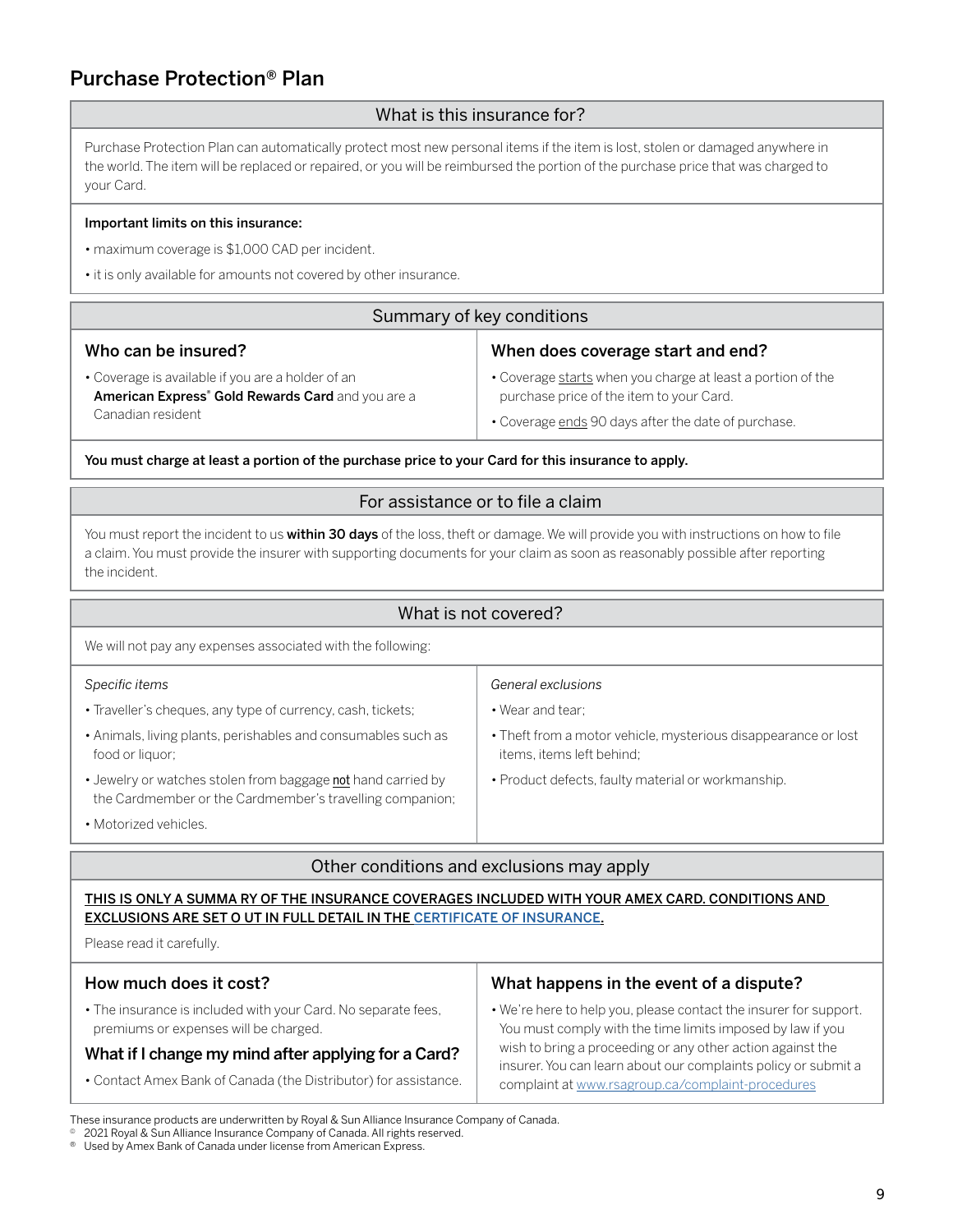# <span id="page-8-0"></span>Purchase Protection® Plan

## What is this insurance for?

Purchase Protection Plan can automatically protect most new personal items if the item is lost, stolen or damaged anywhere in the world. The item will be replaced or repaired, or you will be reimbursed the portion of the purchase price that was charged to your Card.

#### Important limits on this insurance:

- maximum coverage is \$1,000 CAD per incident.
- it is only available for amounts not covered by other insurance.

| Summary of key conditions                                                                                                               |                                                                                                                                                                |
|-----------------------------------------------------------------------------------------------------------------------------------------|----------------------------------------------------------------------------------------------------------------------------------------------------------------|
| Who can be insured?                                                                                                                     | When does coverage start and end?                                                                                                                              |
| • Coverage is available if you are a holder of an<br>American Express <sup>®</sup> Gold Rewards Card and you are a<br>Canadian resident | • Coverage starts when you charge at least a portion of the<br>purchase price of the item to your Card.<br>• Coverage ends 90 days after the date of purchase. |

You must charge at least a portion of the purchase price to your Card for this insurance to apply.

## For assistance or to file a claim

You must report the incident to us within 30 days of the loss, theft or damage. We will provide you with instructions on how to file a claim. You must provide the insurer with supporting documents for your claim as soon as reasonably possible after reporting the incident.

#### What is not covered?

We will not pay any expenses associated with the following:

#### *Specific items* • Traveller's cheques, any type of currency, cash, tickets; • Animals, living plants, perishables and consumables such as food or liquor; • Jewelry or watches stolen from baggage not hand carried by the Cardmember or the Cardmember's travelling companion; • Motorized vehicles. *General exclusions* • Wear and tear; • Theft from a motor vehicle, mysterious disappearance or lost items, items left behind; • Product defects, faulty material or workmanship.

## Other conditions and exclusions may apply

THIS IS ONLY A SUMMA RY OF THE INSURANCE COVERAGES INCLUDED WITH YOUR AMEX CARD. CONDITIONS AND EXCLUSIONS ARE SET O UT IN FULL DETAIL IN THE [CERTIFICATE OF INSURANCE](https://www.insurance.americanexpress.com/ca/files/2019/07/190477-Gold-Rwards-Ins-Cert-16370.pdf).

Please read it carefully.

#### How much does it cost?

• The insurance is included with your Card. No separate fees, premiums or expenses will be charged.

## What if I change my mind after applying for a Card?

• Contact Amex Bank of Canada (the Distributor) for assistance.

#### What happens in the event of a dispute?

• We're here to help you, please contact the insurer for support. You must comply with the time limits imposed by law if you wish to bring a proceeding or any other action against the insurer. You can learn about our complaints policy or submit a complaint at [www.rsagroup.ca/complaint-procedures](http://www.rsagroup.ca/complaint-procedures)

These insurance products are underwritten by Royal & Sun Alliance Insurance Company of Canada.

2021 Royal & Sun Alliance Insurance Company of Canada. All rights reserved.

<sup>®</sup> Used by Amex Bank of Canada under license from American Express.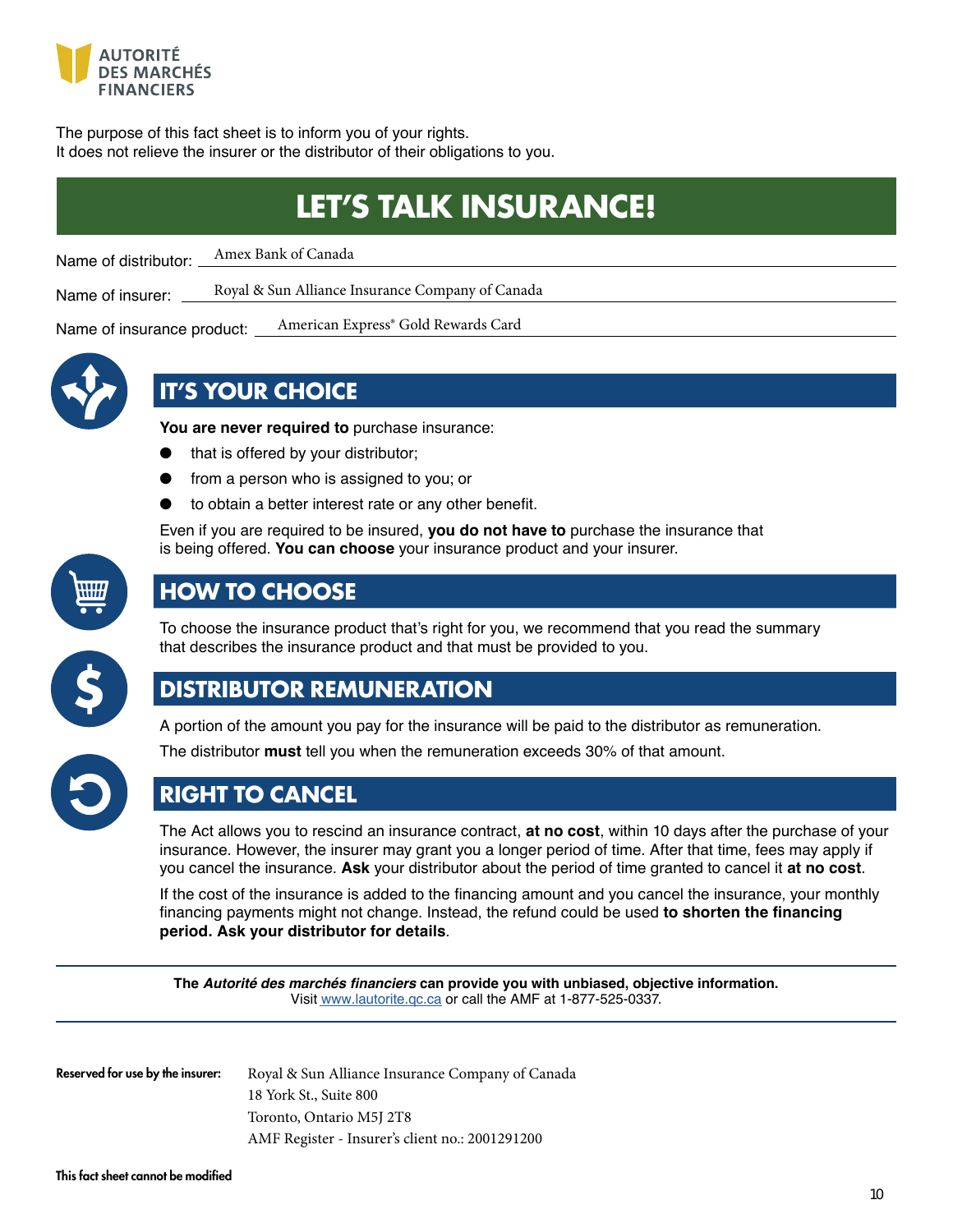<span id="page-9-0"></span>

The purpose of this fact sheet is to inform you of your rights. It does not relieve the insurer or the distributor of their obligations to you.

# **LET'S TALK INSURANCE!**

Name of distributor: Amex Bank of Canada

Name of insurer: Royal & Sun Alliance Insurance Company of Canada

Name of insurance product: \_ American Express® Gold Rewards Card



# **IT'S YOUR CHOICE**

**You are never required to** purchase insurance:

- that is offered by your distributor;
- from a person who is assigned to you; or
- to obtain a better interest rate or any other benefit.

Even if you are required to be insured, **you do not have to** purchase the insurance that is being offered. You can choose your insurance product and your insurer.



# **HOW TO CHOOSE**

To choose the insurance product that's right for you, we recommend that you read the summary that describes the insurance product and that must be provided to you.



# **DISTRIBUTOR REMUNERATION**

A portion of the amount you pay for the insurance will be paid to the distributor as remuneration.



The distributor **must** tell you when the remuneration exceeds 30% of that amount.

# **RIGHT TO CANCEL**

The Act allows you to rescind an insurance contract, **at no cost**, within 10 days after the purchase of your insurance. However, the insurer may grant you a longer period of time. After that time, fees may apply if you cancel the insurance. Ask your distributor about the period of time granted to cancel it at no cost.

If the cost of the insurance is added to the financing amount and you cancel the insurance, your monthly financing payments might not change. Instead, the refund could be used to shorten the financing **period. Ask your distributor for details**

The **Autorité des marchés financiers can provide you with unbiased, objective information.** Visit www.lautorite.gc.ca or call the AMF at 1-877-525-0337.

Reserved for use by the insurer:

Royal & Sun Alliance Insurance Company of Canada 18 York St., Suite 800 Toronto, Ontario M5J 2T8 AMF Register - Insurer's client no.: 2001291200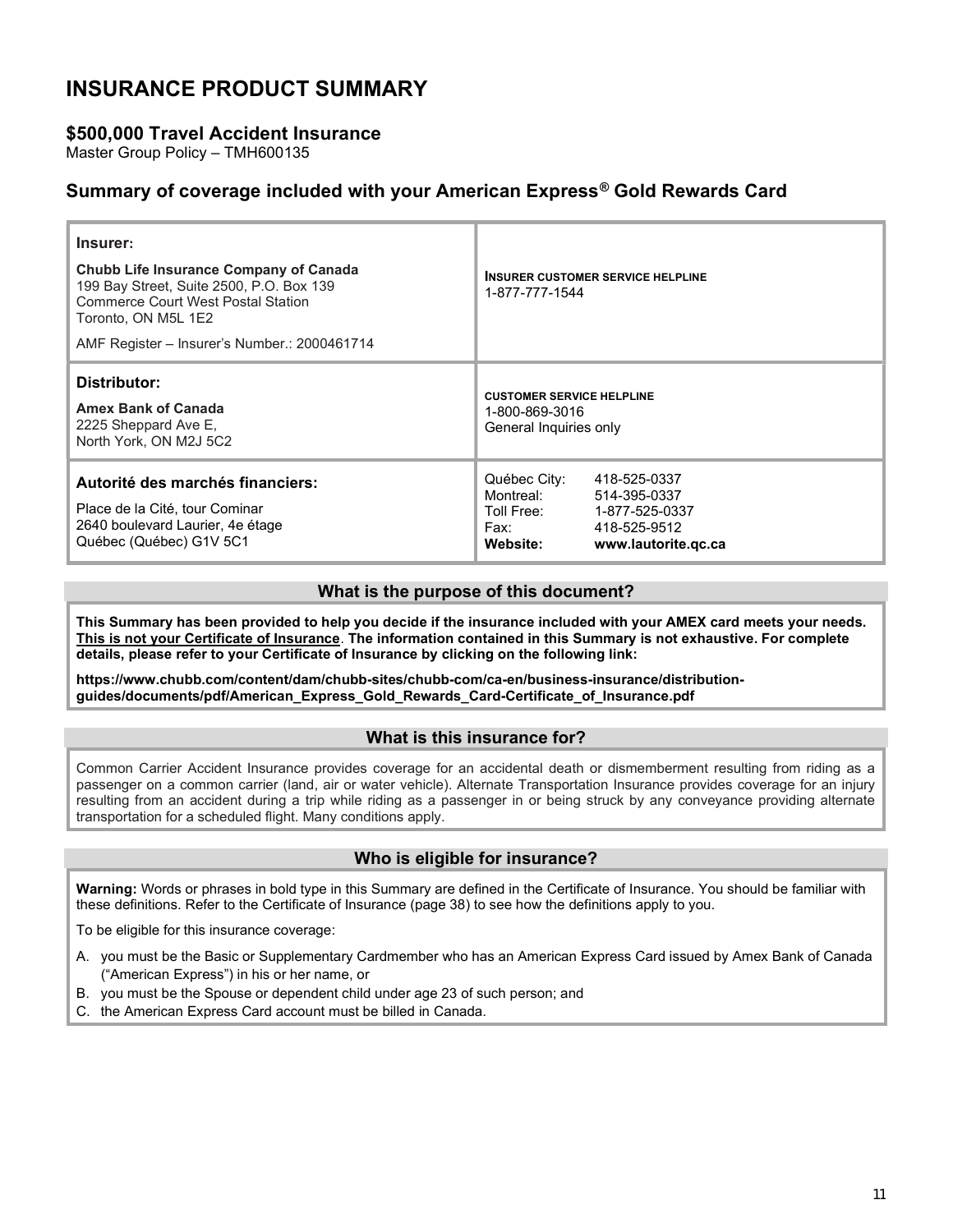# <span id="page-10-0"></span>INSURANCE PRODUCT SUMMARY

## \$500,000 Travel Accident Insurance

Master Group Policy – TMH600135

## Summary of coverage included with your American Express® Gold Rewards Card

| Insurer:<br><b>Chubb Life Insurance Company of Canada</b><br>199 Bay Street, Suite 2500, P.O. Box 139<br><b>Commerce Court West Postal Station</b><br>Toronto, ON M5L 1E2<br>AMF Register – Insurer's Number.: 2000461714 | <b>INSURER CUSTOMER SERVICE HELPLINE</b><br>1-877-777-1544                                                                                           |
|---------------------------------------------------------------------------------------------------------------------------------------------------------------------------------------------------------------------------|------------------------------------------------------------------------------------------------------------------------------------------------------|
| Distributor:<br><b>Amex Bank of Canada</b><br>2225 Sheppard Ave E.<br>North York, ON M2J 5C2                                                                                                                              | <b>CUSTOMER SERVICE HELPLINE</b><br>1-800-869-3016<br>General Inquiries only                                                                         |
| Autorité des marchés financiers:<br>Place de la Cité, tour Cominar<br>2640 boulevard Laurier, 4e étage<br>Québec (Québec) G1V 5C1                                                                                         | Québec City:<br>418-525-0337<br>Montreal:<br>514-395-0337<br>Toll Free:<br>1-877-525-0337<br>418-525-9512<br>Fax:<br>Website:<br>www.lautorite.gc.ca |

#### What is the purpose of this document?

This Summary has been provided to help you decide if the insurance included with your AMEX card meets your needs. This is not your Certificate of Insurance. The information contained in this Summary is not exhaustive. For complete details, please refer to your Certificate of Insurance by clicking on the following link:

https://www.chubb.com/content/dam/chubb-sites/chubb-com/ca-en/business-insurance/distributionguides/documents/pdf/American\_Express\_Gold\_Rewards\_Card-Certificate\_of\_Insurance.pdf

#### What is this insurance for?

Common Carrier Accident Insurance provides coverage for an accidental death or dismemberment resulting from riding as a passenger on a common carrier (land, air or water vehicle). Alternate Trans[portation Insurance prov](http://www.lautorite.qc.ca)ides coverage for an injury resulting from an accident during a trip while riding as a passenger in or being struck by any conveyance providing alternate transportation for a scheduled flight. Many conditions apply.

#### Who is eligible for insurance?

Warning: Words or phrases in bold type in this Summary are defined in the Certificate of Insurance. You should be familiar with these definitions. Refer to the Certificate of Insurance (page 38) to see how the definitions apply to you.

To be eligible for this insurance coverage:

- A. you must be the Basic or Supplementary Cardmember who has an American E[xpress Card issued by Ame](https://www.insurance.americanexpress.com/ca/files/2019/07/190477-Gold-Rwards-Ins-Cert-16370.pdf)x Bank of Canada ("American Express") in his or her name, or
- B. you must be the Spouse or dependent child under age 23 of such person; and
- C. the American Express Card account must be billed in Canada.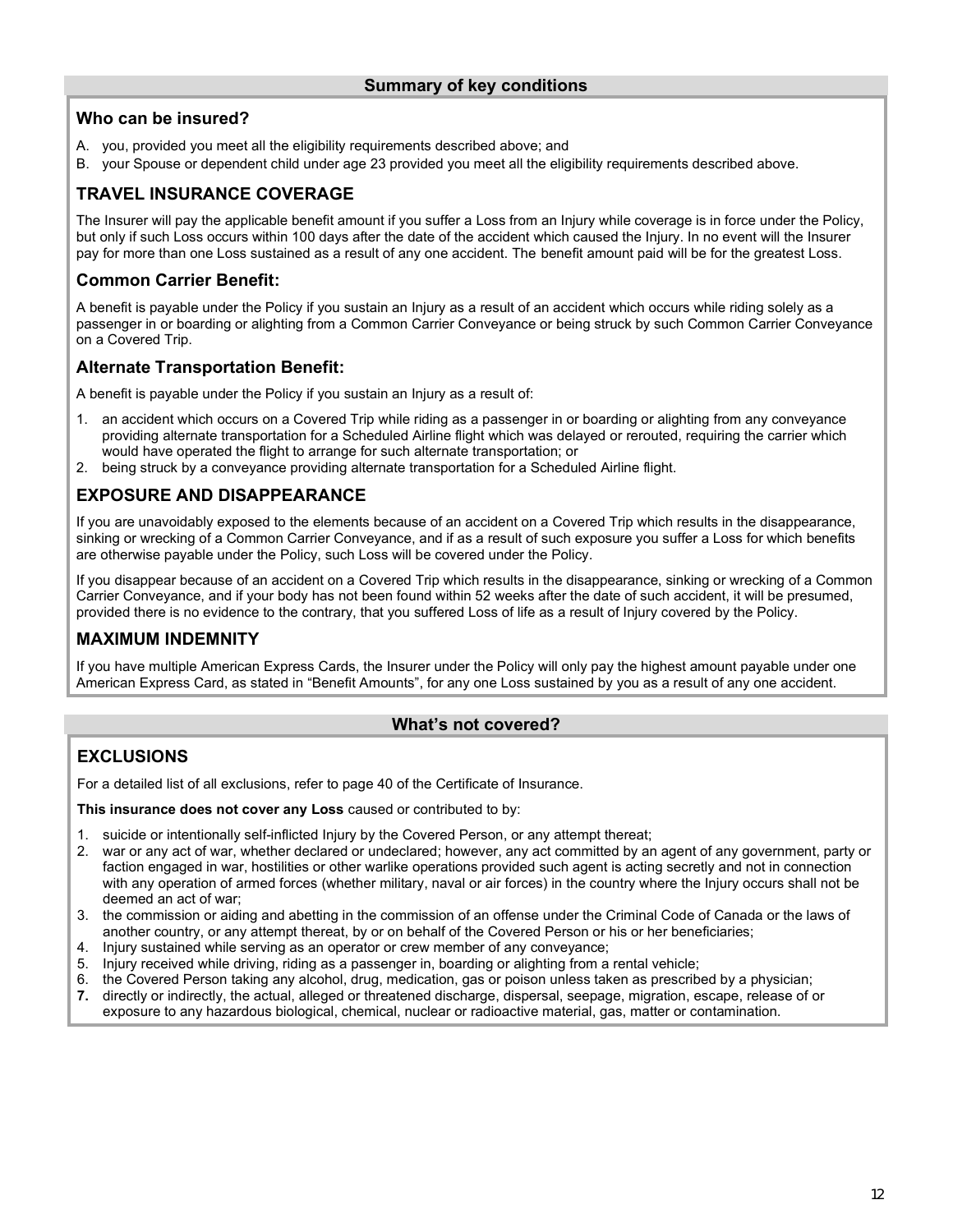## Who can be insured?

- A. you, provided you meet all the eligibility requirements described above; and
- B. your Spouse or dependent child under age 23 provided you meet all the eligibility requirements described above.

## TRAVEL INSURANCE COVERAGE

The Insurer will pay the applicable benefit amount if you suffer a Loss from an Injury while coverage is in force under the Policy, but only if such Loss occurs within 100 days after the date of the accident which caused the Injury. In no event will the Insurer pay for more than one Loss sustained as a result of any one accident. The benefit amount paid will be for the greatest Loss.

## Common Carrier Benefit:

A benefit is payable under the Policy if you sustain an Injury as a result of an accident which occurs while riding solely as a passenger in or boarding or alighting from a Common Carrier Conveyance or being struck by such Common Carrier Conveyance on a Covered Trip.

## Alternate Transportation Benefit:

A benefit is payable under the Policy if you sustain an Injury as a result of:

- 1. an accident which occurs on a Covered Trip while riding as a passenger in or boarding or alighting from any conveyance providing alternate transportation for a Scheduled Airline flight which was delayed or rerouted, requiring the carrier which would have operated the flight to arrange for such alternate transportation; or
- 2. being struck by a conveyance providing alternate transportation for a Scheduled Airline flight.

## EXPOSURE AND DISAPPEARANCE

If you are unavoidably exposed to the elements because of an accident on a Covered Trip which results in the disappearance, sinking or wrecking of a Common Carrier Conveyance, and if as a result of such exposure you suffer a Loss for which benefits are otherwise payable under the Policy, such Loss will be covered under the Policy.

If you disappear because of an accident on a Covered Trip which results in the disappearance, sinking or wrecking of a Common Carrier Conveyance, and if your body has not been found within 52 weeks after the date of such accident, it will be presumed, provided there is no evidence to the contrary, that you suffered Loss of life as a result of Injury covered by the Policy.

## MAXIMUM INDEMNITY

If you have multiple American Express Cards, the Insurer under the Policy will only pay the highest amount payable under one American Express Card, as stated in "Benefit Amounts", for any one Loss sustained by you as a result of any one accident.

## What's not covered?

## **EXCLUSIONS**

For a detailed list of all exclusions, refer to page 40 of the Certificate of Insurance.

This insurance does not cover any Loss caused or contributed to by:

- 1. suicide or intentionally self-inflicted Injury by the Covered Person, or any attempt thereat;
- 2. war or any act of war, whether declared or undeclared; however, any act committed by an agent of any government, party or faction engaged in war, hostilities or other warlike operations provided such agent is acting secretly and not in connection with any operation of armed forces (whether military, naval or air forces) in the country where the Injury occurs shall not be deemed an act of war;
- 3. the commission or aiding and abetting in the commission of an offense under the Criminal Code of Canada or the laws of another country, or any attempt thereat, by or on behalf of the Covered Person or his or her beneficiaries;
- 4. Injury sustained while serving as an operator or crew member of any conveyance;
- 5. Injury received while driving, riding as a passenger in, boarding or alighting from a rental vehicle;
- 6. the Covered Person taking any alcohol, drug, medication, gas or poison unless taken as prescribed by a physician;<br>7. directly or indirectly, the actual, alleged or threatened discharge, dispersal, seepage, migration, es
- directly or indirectly, the actual, alleged or threatened discharge, dispersal, seepage, migration, escape, release of or exposure to any hazardous biological, chemical, nuclear or radioactive material, gas, matter or contamination.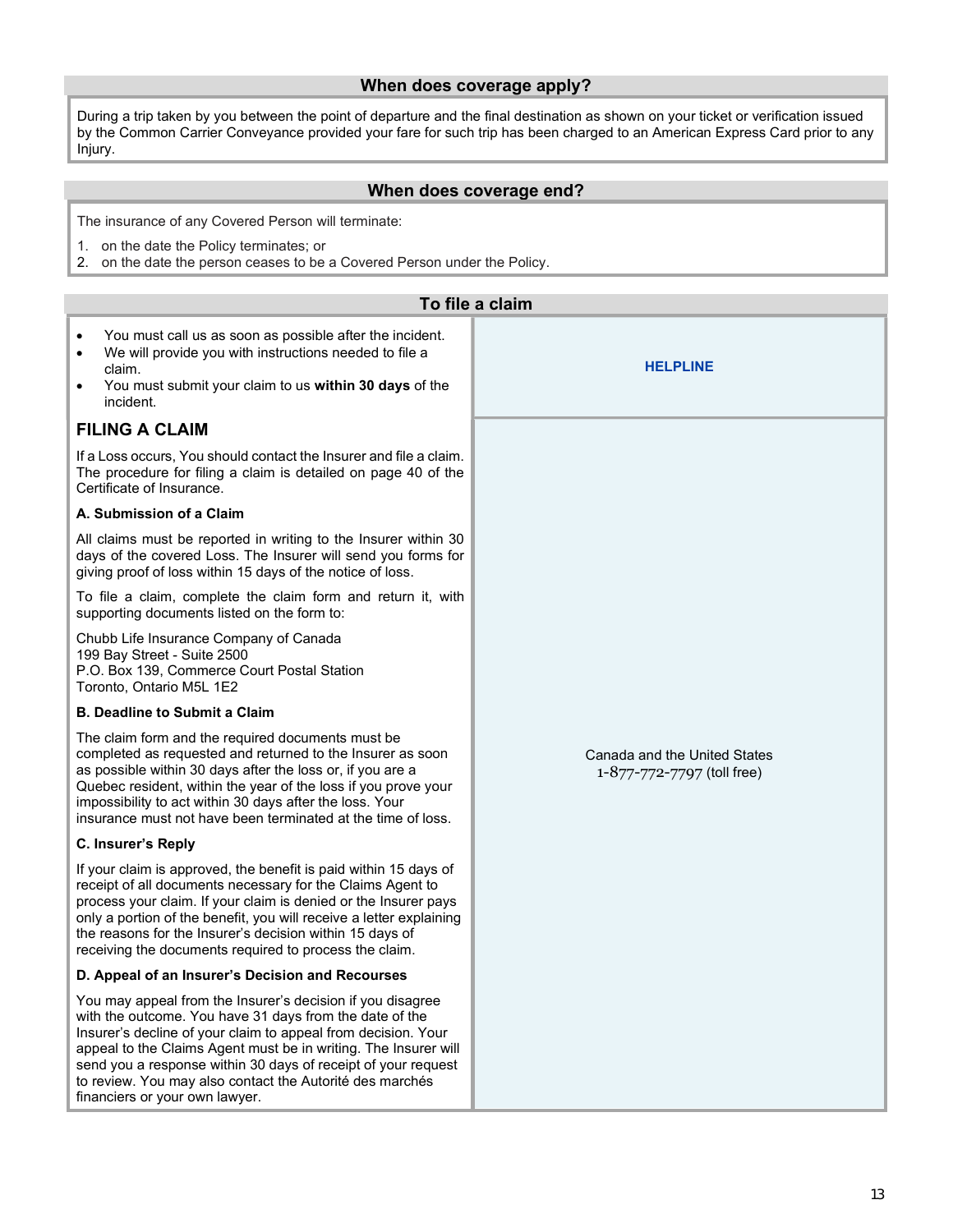## When does coverage apply?

During a trip taken by you between the point of departure and the final destination as shown on your ticket or verification issued by the Common Carrier Conveyance provided your fare for such trip has been charged to an American Express Card prior to any Injury.

#### When does coverage end?

The insurance of any Covered Person will terminate:

- 1. on the date the Policy terminates; or
- 2. on the date the person ceases to be a Covered Person under the Policy.

| To file a claim                                                                                                                                                                                                                                                                                                                                                                                                          |                                                            |  |
|--------------------------------------------------------------------------------------------------------------------------------------------------------------------------------------------------------------------------------------------------------------------------------------------------------------------------------------------------------------------------------------------------------------------------|------------------------------------------------------------|--|
| You must call us as soon as possible after the incident.<br>$\bullet$<br>We will provide you with instructions needed to file a<br>$\bullet$<br>claim.<br>You must submit your claim to us within 30 days of the<br>$\bullet$<br>incident.                                                                                                                                                                               | <b>HELPLINE</b>                                            |  |
| <b>FILING A CLAIM</b>                                                                                                                                                                                                                                                                                                                                                                                                    |                                                            |  |
| If a Loss occurs, You should contact the Insurer and file a claim.<br>The procedure for filing a claim is detailed on page 40 of the<br>Certificate of Insurance.                                                                                                                                                                                                                                                        |                                                            |  |
| A. Submission of a Claim                                                                                                                                                                                                                                                                                                                                                                                                 |                                                            |  |
| All claims must be reported in writing to the Insurer within 30<br>days of the covered Loss. The Insurer will send you forms for<br>giving proof of loss within 15 days of the notice of loss.                                                                                                                                                                                                                           |                                                            |  |
| To file a claim, complete the claim form and return it, with<br>supporting documents listed on the form to:                                                                                                                                                                                                                                                                                                              |                                                            |  |
| Chubb Life Insurance Company of Canada<br>199 Bay Street - Suite 2500<br>P.O. Box 139, Commerce Court Postal Station<br>Toronto, Ontario M5L 1E2                                                                                                                                                                                                                                                                         |                                                            |  |
| <b>B. Deadline to Submit a Claim</b>                                                                                                                                                                                                                                                                                                                                                                                     |                                                            |  |
| The claim form and the required documents must be<br>completed as requested and returned to the Insurer as soon<br>as possible within 30 days after the loss or, if you are a<br>Quebec resident, within the year of the loss if you prove your<br>impossibility to act within 30 days after the loss. Your<br>insurance must not have been terminated at the time of loss.                                              | Canada and the United States<br>1-877-772-7797 (toll free) |  |
| C. Insurer's Reply                                                                                                                                                                                                                                                                                                                                                                                                       |                                                            |  |
| If your claim is approved, the benefit is paid within 15 days of<br>receipt of all documents necessary for the Claims Agent to<br>process your claim. If your claim is denied or the Insurer pays<br>only a portion of the benefit, you will receive a letter explaining<br>the reasons for the Insurer's decision within 15 days of<br>receiving the documents required to process the claim.                           |                                                            |  |
| D. Appeal of an Insurer's Decision and Recourses                                                                                                                                                                                                                                                                                                                                                                         |                                                            |  |
| You may appeal from the Insurer's decision if you disagree<br>with the outcome. You have 31 days from the date of the<br>Insurer's decline of your claim to appeal from decision. Your<br>appeal to the Claims Agent must be in writing. The Insurer will<br>send you a response within 30 days of receipt of your request<br>to review. You may also contact the Autorité des marchés<br>financiers or your own lawyer. |                                                            |  |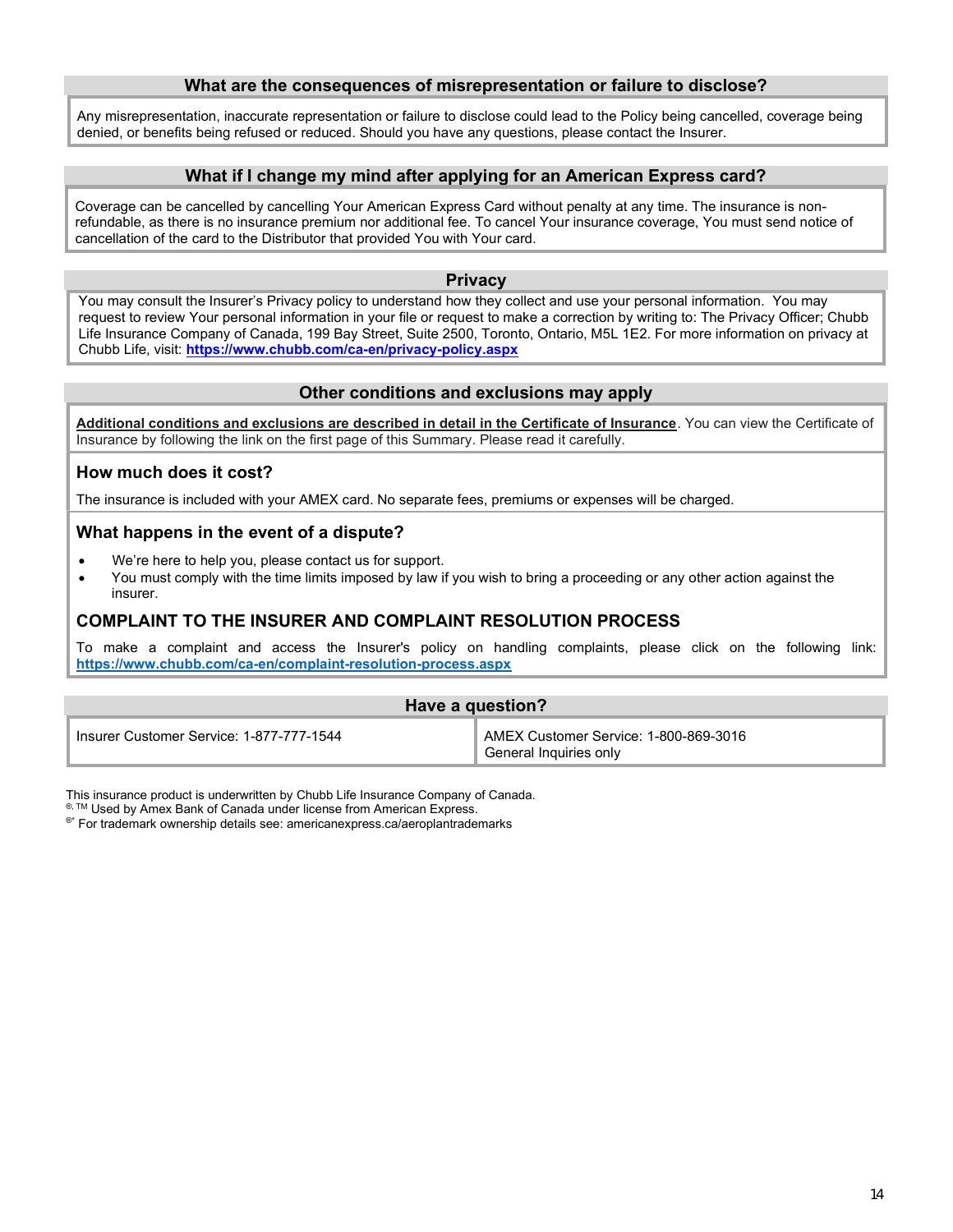#### What are the consequences of misrepresentation or failure to disclose?

Any misrepresentation, inaccurate representation or failure to disclose could lead to the Policy being cancelled, coverage being denied, or benefits being refused or reduced. Should you have any questions, please contact the Insurer.

#### What if I change my mind after applying for an American Express card?

Coverage can be cancelled by cancelling Your American Express Card without penalty at any time. The insurance is nonrefundable, as there is no insurance premium nor additional fee. To cancel Your insurance coverage, You must send notice of cancellation of the card to the Distributor that provided You with Your card.

#### **Privacy**

You may consult the Insurer's Privacy policy to understand how they collect and use your personal information. You may request to review Your personal information in your file or request to make a correction by writing to: The Privacy Officer; Chubb Life Insurance Company of Canada, 199 Bay Street, Suite 2500, Toronto, Ontario, M5L 1E2. For more information on privacy at Chubb Life, visit: https://www.chubb.com/ca-en/privacy-policy.aspx

#### Other conditions and exclusions may apply

Additional conditions and exclusions are described in detail in the Certificate of Insurance. You can view the Certificate of Insurance by following the link on the first page of this Summary. Please read it carefully.

#### How much does it cost?

The insurance is included with your AMEX card. No separate fees, premiums or expenses will be charged.

#### What happens in the event of a dispute?

- We're here to help you, please contact us for support.
- You must comply with the time limits imposed by law if you wish to bring a proceeding or any other action against the insurer.

#### COMPLAINT TO THE INSURER AND COMPLAINT RESOLUTION PROCESS

To make a complaint and access the Insurer's policy on handling complaints, please click on the following link: https://[www.chubb.com/ca-en/complaint-resolution-process.a](https://www.chubb.com/ca-en/privacy-policy.aspx)spx

| Have a question?                         |                                                                              |
|------------------------------------------|------------------------------------------------------------------------------|
| Insurer Customer Service: 1-877-777-1544 | AMEX Customer Service: 1-800-869-3016<br><sup>1</sup> General Inquiries only |

This insurance product is underwritten by Chubb Life Insurance Company of Canada.

®, TM Used by Amex Bank of Canada under license from American Express.

®\* For trademark ownership details see: americanexpress.ca/aeroplantrademarks